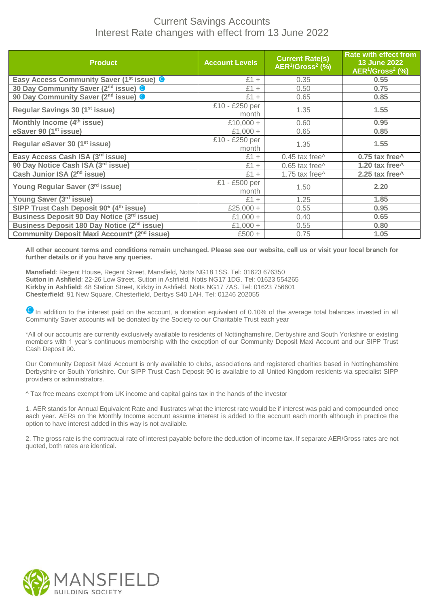## Current Savings Accounts Interest Rate changes with effect from 13 June 2022

| <b>Product</b>                                                   | <b>Account Levels</b>   | <b>Current Rate(s)</b><br>AER <sup>1</sup> /Gross <sup>2</sup> (%) | <b>Rate with effect from</b><br><b>13 June 2022</b><br>AER <sup>1</sup> /Gross <sup>2</sup> (%) |
|------------------------------------------------------------------|-------------------------|--------------------------------------------------------------------|-------------------------------------------------------------------------------------------------|
| Easy Access Community Saver (1 <sup>st</sup> issue) <sup>O</sup> | $£1 +$                  | 0.35                                                               | 0.55                                                                                            |
| 30 Day Community Saver (2 <sup>nd</sup> issue) <sup>O</sup>      | $£1 +$                  | 0.50                                                               | 0.75                                                                                            |
| 90 Day Community Saver (2 <sup>nd</sup> issue) <sup>O</sup>      | $£1 +$                  | 0.65                                                               | 0.85                                                                                            |
| Regular Savings 30 (1 <sup>st</sup> issue)                       | £10 - £250 per<br>month | 1.35                                                               | 1.55                                                                                            |
| Monthly Income (4 <sup>th</sup> issue)                           | £10,000 +               | 0.60                                                               | 0.95                                                                                            |
| eSaver 90 (1 <sup>st</sup> issue)                                | £1,000 +                | 0.65                                                               | 0.85                                                                                            |
| Regular eSaver 30 (1 <sup>st</sup> issue)                        | £10 - £250 per<br>month | 1.35                                                               | 1.55                                                                                            |
| Easy Access Cash ISA (3rd issue)                                 | $£1 +$                  | $0.45$ tax free $\wedge$                                           | 0.75 tax free^                                                                                  |
| 90 Day Notice Cash ISA (3rd issue)                               | $£1 +$                  | $0.65$ tax free $\wedge$                                           | 1.20 tax free^                                                                                  |
| Cash Junior ISA (2 <sup>nd</sup> issue)                          | $£1 +$                  | 1.75 tax free^                                                     | 2.25 tax free^                                                                                  |
| Young Regular Saver (3rd issue)                                  | £1 - £500 per<br>month  | 1.50                                                               | 2.20                                                                                            |
| Young Saver (3rd issue)                                          | $£1 +$                  | 1.25                                                               | 1.85                                                                                            |
| SIPP Trust Cash Deposit 90 <sup>*</sup> (4 <sup>th</sup> issue)  | £25,000 +               | 0.55                                                               | 0.95                                                                                            |
| Business Deposit 90 Day Notice (3rd issue)                       | £1,000 +                | 0.40                                                               | 0.65                                                                                            |
| Business Deposit 180 Day Notice (2 <sup>nd</sup> issue)          | £1,000 +                | 0.55                                                               | 0.80                                                                                            |
| Community Deposit Maxi Account* (2 <sup>nd</sup> issue)          | $£500 +$                | 0.75                                                               | 1.05                                                                                            |

**All other account terms and conditions remain unchanged. Please see our website, call us or visit your local branch for further details or if you have any queries.**

**Mansfield**: Regent House, Regent Street, Mansfield, Notts NG18 1SS. Tel: 01623 676350 **Sutton in Ashfield**: 22-26 Low Street, Sutton in Ashfield, Notts NG17 1DG. Tel: 01623 554265 **Kirkby in Ashfield**: 48 Station Street, Kirkby in Ashfield, Notts NG17 7AS. Tel: 01623 756601 **Chesterfield**: 91 New Square, Chesterfield, Derbys S40 1AH. Tel: 01246 202055

**In addition to the interest paid on the account, a donation equivalent of 0.10% of the average total balances invested in all** Community Saver accounts will be donated by the Society to our Charitable Trust each year

\*All of our accounts are currently exclusively available to residents of Nottinghamshire, Derbyshire and South Yorkshire or existing members with 1 year's continuous membership with the exception of our Community Deposit Maxi Account and our SIPP Trust Cash Deposit 90.

Our Community Deposit Maxi Account is only available to clubs, associations and registered charities based in Nottinghamshire Derbyshire or South Yorkshire. Our SIPP Trust Cash Deposit 90 is available to all United Kingdom residents via specialist SIPP providers or administrators.

^ Tax free means exempt from UK income and capital gains tax in the hands of the investor

1. AER stands for Annual Equivalent Rate and illustrates what the interest rate would be if interest was paid and compounded once each year. AERs on the Monthly Income account assume interest is added to the account each month although in practice the option to have interest added in this way is not available.

2. The gross rate is the contractual rate of interest payable before the deduction of income tax. If separate AER/Gross rates are not quoted, both rates are identical.